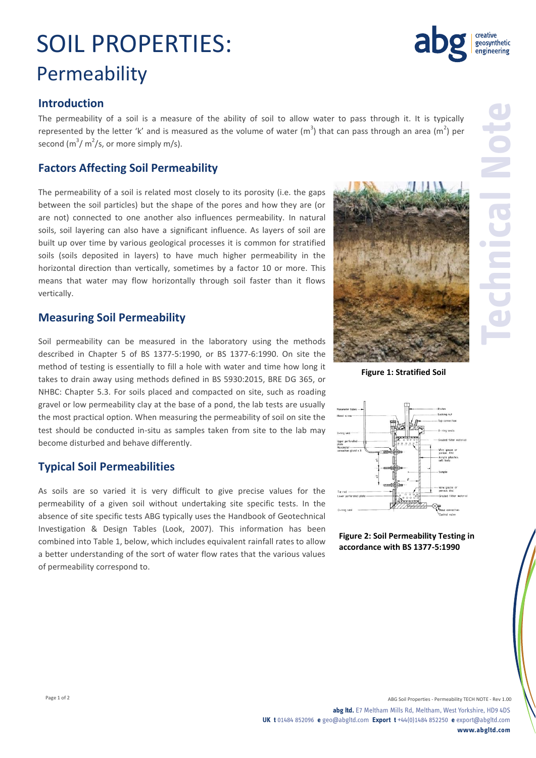# SOIL PROPERTIES: Permeability

#### **Introduction**

The permeability of a soil is a measure of the ability of soil to allow water to pass through it. It is typically represented by the letter 'k' and is measured as the volume of water (m<sup>3</sup>) that can pass through an area (m<sup>2</sup>) per second  $(m^3/m^2/s)$ , or more simply m/s).

### **Factors Affecting Soil Permeability**

The permeability of a soil is related most closely to its porosity (i.e. the gaps between the soil particles) but the shape of the pores and how they are (or are not) connected to one another also influences permeability. In natural soils, soil layering can also have a significant influence. As layers of soil are built up over time by various geological processes it is common for stratified soils (soils deposited in layers) to have much higher permeability in the horizontal direction than vertically, sometimes by a factor 10 or more. This means that water may flow horizontally through soil faster than it flows vertically.

#### **Measuring Soil Permeability**

Soil permeability can be measured in the laboratory using the methods described in Chapter 5 of BS 1377-5:1990, or BS 1377-6:1990. On site the method of testing is essentially to fill a hole with water and time how long it takes to drain away using methods defined in BS 5930:2015, BRE DG 365, or NHBC: Chapter 5.3. For soils placed and compacted on site, such as roading gravel or low permeability clay at the base of a pond, the lab tests are usually the most practical option. When measuring the permeability of soil on site the test should be conducted in-situ as samples taken from site to the lab may become disturbed and behave differently.

#### **Typical Soil Permeabilities**

As soils are so varied it is very difficult to give precise values for the permeability of a given soil without undertaking site specific tests. In the absence of site specific tests ABG typically uses the Handbook of Geotechnical Investigation & Design Tables (Look, 2007). This information has been combined into Table 1, below, which includes equivalent rainfall rates to allow a better understanding of the sort of water flow rates that the various values of permeability correspond to.

**Figure 1: Stratified Soil**